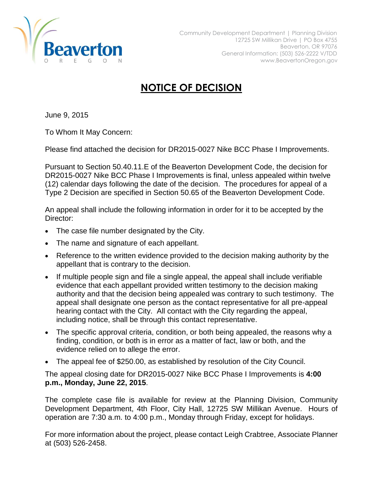

## **NOTICE OF DECISION**

June 9, 2015

To Whom It May Concern:

Please find attached the decision for DR2015-0027 Nike BCC Phase I Improvements.

Pursuant to Section 50.40.11.E of the Beaverton Development Code, the decision for DR2015-0027 Nike BCC Phase I Improvements is final, unless appealed within twelve (12) calendar days following the date of the decision. The procedures for appeal of a Type 2 Decision are specified in Section 50.65 of the Beaverton Development Code.

An appeal shall include the following information in order for it to be accepted by the Director:

- The case file number designated by the City.
- The name and signature of each appellant.
- Reference to the written evidence provided to the decision making authority by the appellant that is contrary to the decision.
- If multiple people sign and file a single appeal, the appeal shall include verifiable evidence that each appellant provided written testimony to the decision making authority and that the decision being appealed was contrary to such testimony. The appeal shall designate one person as the contact representative for all pre-appeal hearing contact with the City. All contact with the City regarding the appeal, including notice, shall be through this contact representative.
- The specific approval criteria, condition, or both being appealed, the reasons why a finding, condition, or both is in error as a matter of fact, law or both, and the evidence relied on to allege the error.
- The appeal fee of \$250.00, as established by resolution of the City Council.

The appeal closing date for DR2015-0027 Nike BCC Phase I Improvements is **4:00 p.m., Monday, June 22, 2015**.

The complete case file is available for review at the Planning Division, Community Development Department, 4th Floor, City Hall, 12725 SW Millikan Avenue. Hours of operation are 7:30 a.m. to 4:00 p.m., Monday through Friday, except for holidays.

For more information about the project, please contact Leigh Crabtree, Associate Planner at (503) 526-2458.